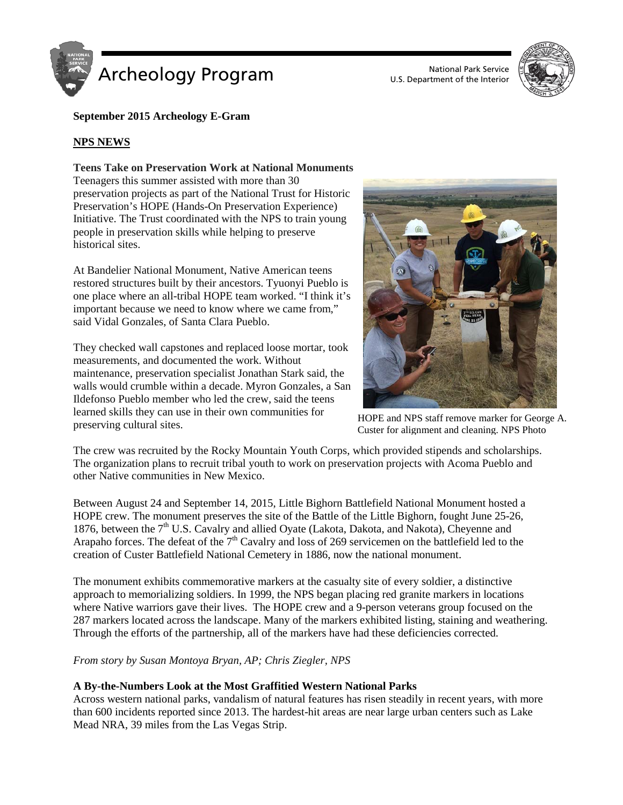



# **September 2015 Archeology E-Gram**

## **NPS NEWS**

### **Teens Take on Preservation Work at National Monuments**

Teenagers this summer assisted with more than 30 preservation projects as part of the National Trust for Historic Preservation's HOPE (Hands-On Preservation Experience) Initiative. The Trust coordinated with the NPS to train young people in preservation skills while helping to preserve historical sites.

At Bandelier National Monument, Native American teens restored structures built by their ancestors. Tyuonyi Pueblo is one place where an all-tribal HOPE team worked. "I think it's important because we need to know where we came from," said Vidal Gonzales, of Santa Clara Pueblo.

They checked wall capstones and replaced loose mortar, took measurements, and documented the work. Without maintenance, preservation specialist Jonathan Stark said, the walls would crumble within a decade. Myron Gonzales, a San Ildefonso Pueblo member who led the crew, said the teens learned skills they can use in their own communities for preserving cultural sites.



HOPE and NPS staff remove marker for George A. Custer for alignment and cleaning. NPS Photo

The crew was recruited by the Rocky Mountain Youth Corps, which provided stipends and scholarships. The organization plans to recruit tribal youth to work on preservation projects with Acoma Pueblo and other Native communities in New Mexico.

Between August 24 and September 14, 2015, Little Bighorn Battlefield National Monument hosted a HOPE crew. The monument preserves the site of the Battle of the Little Bighorn, fought June 25-26, 1876, between the 7<sup>th</sup> U.S. Cavalry and allied Oyate (Lakota, Dakota, and Nakota), Cheyenne and Arapaho forces. The defeat of the 7<sup>th</sup> Cavalry and loss of 269 servicemen on the battlefield led to the creation of Custer Battlefield National Cemetery in 1886, now the national monument.

The monument exhibits commemorative markers at the casualty site of every soldier, a distinctive approach to memorializing soldiers. In 1999, the NPS began placing red granite markers in locations where Native warriors gave their lives. The HOPE crew and a 9-person veterans group focused on the 287 markers located across the landscape. Many of the markers exhibited listing, staining and weathering. Through the efforts of the partnership, all of the markers have had these deficiencies corrected.

## *From story by Susan Montoya Bryan, AP; Chris Ziegler, NPS*

## **A By-the-Numbers Look at the Most Graffitied Western National Parks**

Across western national parks, vandalism of natural features has risen steadily in recent years, with more than 600 incidents reported since 2013. The hardest-hit areas are near large urban centers such as Lake Mead NRA, 39 miles from the Las Vegas Strip.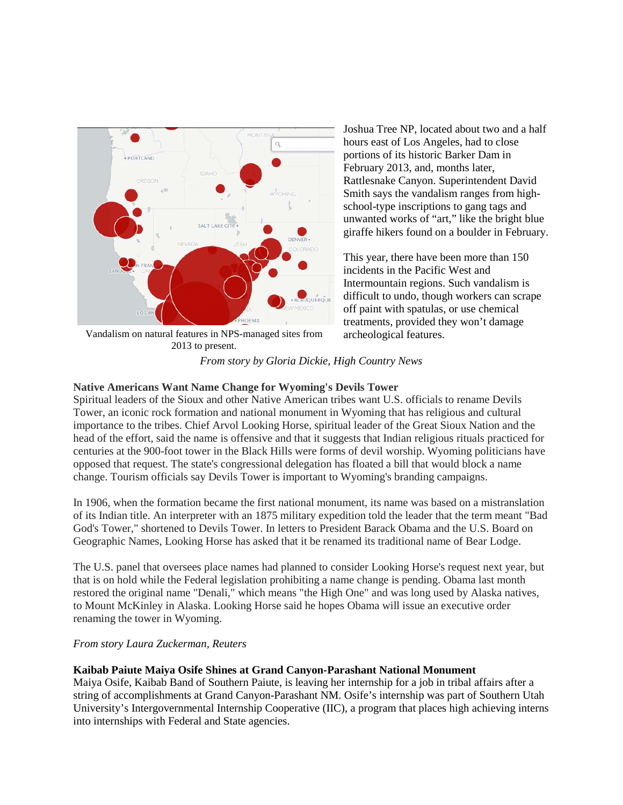

Vandalism on natural features in NPS-managed sites from 2013 to present.

Joshua Tree NP, located about two and a half hours east of Los Angeles, had to close portions of its historic Barker Dam in February 2013, and, months later, Rattlesnake Canyon. Superintendent David Smith says the vandalism ranges from highschool-type inscriptions to gang tags and unwanted works of "art," like the bright blue giraffe hikers found on a boulder in February.

This year, there have been more than 150 incidents in the Pacific West and Intermountain regions. Such vandalism is difficult to undo, though workers can scrape off paint with spatulas, or use chemical treatments, provided they won't damage archeological features.

# *From story by Gloria Dickie, High Country News*

## **Native Americans Want Name Change for Wyoming's Devils Tower**

Spiritual leaders of the Sioux and other Native American tribes want U.S. officials to rename Devils Tower, an iconic rock formation and national monument in Wyoming that has religious and cultural importance to the tribes. Chief Arvol Looking Horse, spiritual leader of the Great Sioux Nation and the head of the effort, said the name is offensive and that it suggests that Indian religious rituals practiced for centuries at the 900-foot tower in the Black Hills were forms of devil worship. Wyoming politicians have opposed that request. The state's congressional delegation has floated a bill that would block a name change. Tourism officials say Devils Tower is important to Wyoming's branding campaigns.

In 1906, when the formation became the first national monument, its name was based on a mistranslation of its Indian title. An interpreter with an 1875 military expedition told the leader that the term meant "Bad God's Tower," shortened to Devils Tower. In letters to President Barack Obama and the U.S. Board on Geographic Names, Looking Horse has asked that it be renamed its traditional name of Bear Lodge.

The U.S. panel that oversees place names had planned to consider Looking Horse's request next year, but that is on hold while the Federal legislation prohibiting a name change is pending. Obama last month restored the original name "Denali," which means "the High One" and was long used by Alaska natives, to Mount McKinley in Alaska. Looking Horse said he hopes Obama will issue an executive order renaming the tower in Wyoming.

## *From story Laura Zuckerman, Reuters*

## **Kaibab Paiute Maiya Osife Shines at Grand Canyon-Parashant National Monument**

Maiya Osife, Kaibab Band of Southern Paiute, is leaving her internship for a job in tribal affairs after a string of accomplishments at Grand Canyon-Parashant NM. Osife's internship was part of Southern Utah University's Intergovernmental Internship Cooperative (IIC), a program that places high achieving interns into internships with Federal and State agencies.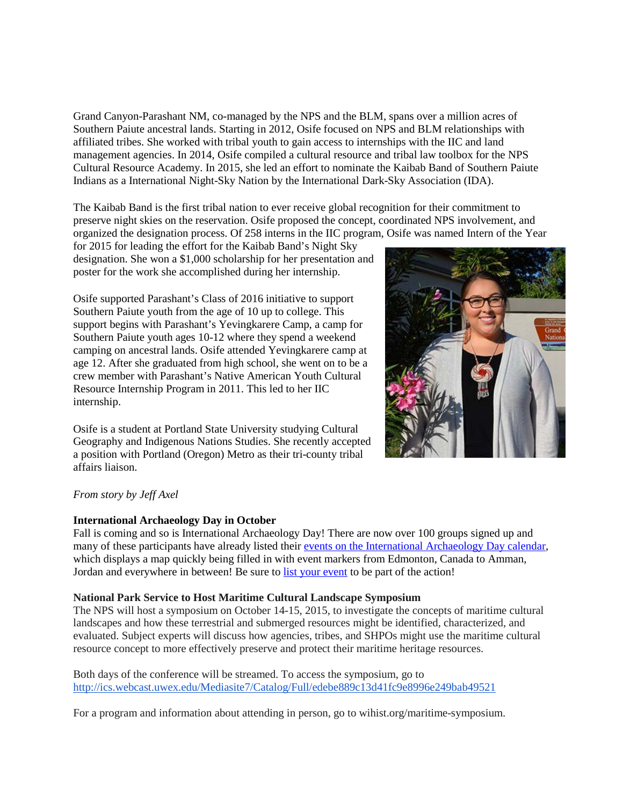Grand Canyon-Parashant NM, co-managed by the NPS and the BLM, spans over a million acres of Southern Paiute ancestral lands. Starting in 2012, Osife focused on NPS and BLM relationships with affiliated tribes. She worked with tribal youth to gain access to internships with the IIC and land management agencies. In 2014, Osife compiled a cultural resource and tribal law toolbox for the NPS Cultural Resource Academy. In 2015, she led an effort to nominate the Kaibab Band of Southern Paiute Indians as a International Night-Sky Nation by the International Dark-Sky Association (IDA).

The Kaibab Band is the first tribal nation to ever receive global recognition for their commitment to preserve night skies on the reservation. Osife proposed the concept, coordinated NPS involvement, and organized the designation process. Of 258 interns in the IIC program, Osife was named Intern of the Year

for 2015 for leading the effort for the Kaibab Band's Night Sky designation. She won a \$1,000 scholarship for her presentation and poster for the work she accomplished during her internship.

Osife supported Parashant's Class of 2016 initiative to support Southern Paiute youth from the age of 10 up to college. This support begins with Parashant's Yevingkarere Camp, a camp for Southern Paiute youth ages 10-12 where they spend a weekend camping on ancestral lands. Osife attended Yevingkarere camp at age 12. After she graduated from high school, she went on to be a crew member with Parashant's Native American Youth Cultural Resource Internship Program in 2011. This led to her IIC internship.

Osife is a student at Portland State University studying Cultural Geography and Indigenous Nations Studies. She recently accepted a position with Portland (Oregon) Metro as their tri-county tribal affairs liaison.



# *From story by Jeff Axel*

## **International Archaeology Day in October**

Fall is coming and so is International Archaeology Day! There are now over 100 groups signed up and many of these participants have already listed their [events on the International Archaeology Day calendar,](http://archaeologyday.us10.list-manage1.com/track/click?u=70748a0b808e91ad3966ff72b&id=a47741becc&e=0cbd981271) which displays a map quickly being filled in with event markers from Edmonton, Canada to Amman, Jordan and everywhere in between! Be sure to [list your event](http://archaeologyday.us10.list-manage.com/track/click?u=70748a0b808e91ad3966ff72b&id=125f31ad5f&e=0cbd981271) to be part of the action!

## **National Park Service to Host Maritime Cultural Landscape Symposium**

The NPS will host a symposium on October 14-15, 2015, to investigate the concepts of maritime cultural landscapes and how these terrestrial and submerged resources might be identified, characterized, and evaluated. Subject experts will discuss how agencies, tribes, and SHPOs might use the maritime cultural resource concept to more effectively preserve and protect their maritime heritage resources.

Both days of the conference will be streamed. To access the symposium, go to <http://ics.webcast.uwex.edu/Mediasite7/Catalog/Full/edebe889c13d41fc9e8996e249bab49521>

For a program and information about attending in person, go to wihist.org/maritime-symposium.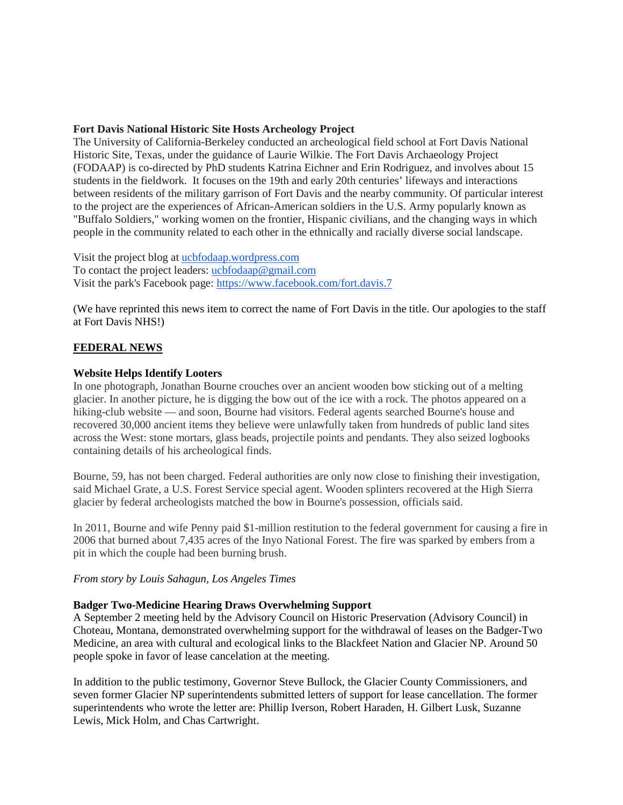## **Fort Davis National Historic Site Hosts Archeology Project**

The University of California-Berkeley conducted an archeological field school at Fort Davis National Historic Site, Texas, under the guidance of Laurie Wilkie. The Fort Davis Archaeology Project (FODAAP) is co-directed by PhD students Katrina Eichner and Erin Rodriguez, and involves about 15 students in the fieldwork. It focuses on the 19th and early 20th centuries' lifeways and interactions between residents of the military garrison of Fort Davis and the nearby community. Of particular interest to the project are the experiences of African-American soldiers in the U.S. Army popularly known as "Buffalo Soldiers," working women on the frontier, Hispanic civilians, and the changing ways in which people in the community related to each other in the ethnically and racially diverse social landscape.

Visit the project blog at [ucbfodaap.wordpress.com](http://ucbfodaap.wordpress.com/) To contact the project leaders: [ucbfodaap@gmail.com](mailto:ucbfodaap@gmail.com) Visit the park's Facebook page: <https://www.facebook.com/fort.davis.7>

(We have reprinted this news item to correct the name of Fort Davis in the title. Our apologies to the staff at Fort Davis NHS!)

## **FEDERAL NEWS**

### **Website Helps Identify Looters**

In one photograph, Jonathan Bourne crouches over an ancient wooden bow sticking out of a melting glacier. In another picture, he is digging the bow out of the ice with a rock. The photos appeared on a hiking-club website — and soon, Bourne had visitors. Federal agents searched Bourne's house and recovered 30,000 ancient items they believe were unlawfully taken from hundreds of public land sites across the West: stone mortars, glass beads, projectile points and pendants. They also seized logbooks containing details of his archeological finds.

Bourne, 59, has not been charged. Federal authorities are only now close to finishing their investigation, said Michael Grate, a U.S. Forest Service special agent. Wooden splinters recovered at the High Sierra glacier by federal archeologists matched the bow in Bourne's possession, officials said.

In 2011, Bourne and wife Penny paid \$1-million restitution to the federal government for causing a fire in 2006 that burned about 7,435 acres of the Inyo National Forest. The fire was sparked by embers from a pit in which the couple had been burning brush.

#### *From story by Louis Sahagun, Los Angeles Times*

## **Badger Two-Medicine Hearing Draws Overwhelming Support**

A September 2 meeting held by the Advisory Council on Historic Preservation (Advisory Council) in Choteau, Montana, demonstrated overwhelming support for the withdrawal of leases on the Badger-Two Medicine, an area with cultural and ecological links to the Blackfeet Nation and Glacier NP. Around 50 people spoke in favor of lease cancelation at the meeting.

In addition to the public testimony, Governor Steve Bullock, the Glacier County Commissioners, and seven former Glacier NP superintendents submitted letters of support for lease cancellation. The former superintendents who wrote the letter are: Phillip Iverson, Robert Haraden, H. Gilbert Lusk, Suzanne Lewis, Mick Holm, and Chas Cartwright.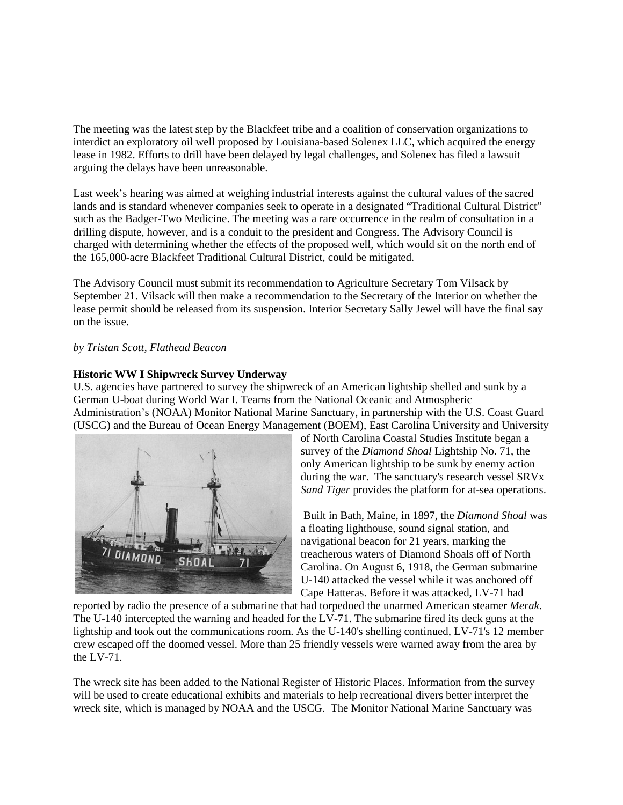The meeting was the latest step by the Blackfeet tribe and a coalition of conservation organizations to interdict an exploratory oil well proposed by Louisiana-based Solenex LLC, which acquired the energy lease in 1982. Efforts to drill have been delayed by legal challenges, and Solenex has filed a lawsuit arguing the delays have been unreasonable.

Last week's hearing was aimed at weighing industrial interests against the cultural values of the sacred lands and is standard whenever companies seek to operate in a designated "Traditional Cultural District" such as the Badger-Two Medicine. The meeting was a rare occurrence in the realm of consultation in a drilling dispute, however, and is a conduit to the president and Congress. The Advisory Council is charged with determining whether the effects of the proposed well, which would sit on the north end of the 165,000-acre Blackfeet Traditional Cultural District, could be mitigated.

The Advisory Council must submit its recommendation to Agriculture Secretary Tom Vilsack by September 21. Vilsack will then make a recommendation to the Secretary of the Interior on whether the lease permit should be released from its suspension. Interior Secretary Sally Jewel will have the final say on the issue.

### *by Tristan Scott, Flathead Beacon*

## **Historic WW I Shipwreck Survey Underway**

U.S. agencies have partnered to survey the shipwreck of an American lightship shelled and sunk by a German U-boat during World War I. Teams from the National Oceanic and Atmospheric Administration's (NOAA) Monitor National Marine Sanctuary, in partnership with the U.S. Coast Guard (USCG) and the Bureau of Ocean Energy Management (BOEM), East Carolina University and University



of North Carolina Coastal Studies Institute began a survey of the *Diamond Shoal* Lightship No. 71, the only American lightship to be sunk by enemy action during the war. The sanctuary's research vessel SRVx *Sand Tiger* provides the platform for at-sea operations.

Built in Bath, Maine, in 1897, the *Diamond Shoal* was a floating lighthouse, sound signal station, and navigational beacon for 21 years, marking the treacherous waters of Diamond Shoals off of North Carolina. On August 6, 1918, the German submarine U-140 attacked the vessel while it was anchored off Cape Hatteras. Before it was attacked, LV-71 had

reported by radio the presence of a submarine that had torpedoed the unarmed American steamer *Merak*. The U-140 intercepted the warning and headed for the LV-71. The submarine fired its deck guns at the lightship and took out the communications room. As the U-140's shelling continued, LV-71's 12 member crew escaped off the doomed vessel. More than 25 friendly vessels were warned away from the area by the LV-71.

The wreck site has been added to the National Register of Historic Places. Information from the survey will be used to create educational exhibits and materials to help recreational divers better interpret the wreck site, which is managed by NOAA and the USCG. The Monitor National Marine Sanctuary was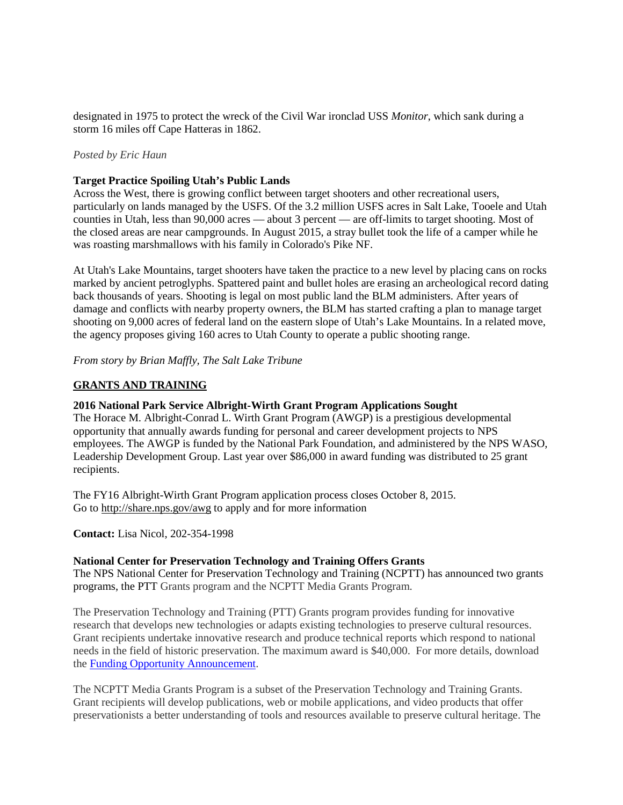designated in 1975 to protect the wreck of the Civil War ironclad USS *Monitor*, which sank during a storm 16 miles off Cape Hatteras in 1862.

### *Posted by Eric Haun*

### **Target Practice Spoiling Utah's Public Lands**

Across the West, there is growing conflict between target shooters and other recreational users, particularly on lands managed by the USFS. Of the 3.2 million USFS acres in Salt Lake, Tooele and Utah counties in Utah, less than 90,000 acres — about 3 percent — are off-limits to target shooting. Most of the closed areas are near campgrounds. In August 2015, a stray bullet took the life of a camper while he was roasting marshmallows with his family in Colorado's Pike NF.

At Utah's Lake Mountains, target shooters have taken the practice to a new level by placing cans on rocks marked by ancient petroglyphs. Spattered paint and bullet holes are erasing an archeological record dating back thousands of years. Shooting is legal on most public land the BLM administers. After years of damage and conflicts with nearby property owners, the BLM has started crafting a plan to manage target shooting on 9,000 acres of federal land on the eastern slope of Utah's Lake Mountains. In a related move, the agency proposes giving 160 acres to Utah County to operate a public shooting range.

*From story by Brian Maffly, The Salt Lake Tribune*

## **GRANTS AND TRAINING**

#### **2016 National Park Service Albright-Wirth Grant Program Applications Sought**

The Horace M. Albright-Conrad L. Wirth Grant Program (AWGP) is a prestigious developmental opportunity that annually awards funding for personal and career development projects to NPS employees. The AWGP is funded by the National Park Foundation, and administered by the NPS WASO, Leadership Development Group. Last year over \$86,000 in award funding was distributed to 25 grant recipients.

The FY16 Albright-Wirth Grant Program application process closes October 8, 2015. Go to <http://share.nps.gov/awg> to apply and for more information

**Contact:** Lisa Nicol, 202-354-1998

#### **National Center for Preservation Technology and Training Offers Grants**

The NPS National Center for Preservation Technology and Training (NCPTT) has announced two grants programs, the PTT Grants program and the NCPTT Media Grants Program.

The Preservation Technology and Training (PTT) Grants program provides funding for innovative research that develops new technologies or adapts existing technologies to preserve cultural resources. Grant recipients undertake innovative research and produce technical reports which respond to national needs in the field of historic preservation. The maximum award is \$40,000. For more details, download the [Funding Opportunity Announcement.](http://r20.rs6.net/tn.jsp?f=001QnCYMFUo1L-2Bq1UEjsOkhuBi2iY_0wfjKfc5nfrPc14m4GpIbTzEXtYTARcqANm4EMI-lHkjkbLV6UEs-kUQmTy5743rsLBKoifWhx6O_bE1_0OPbYGXHzm8UJftK8nt5OVu2PibvavQJ6A1CdJ5T9UZsxWIVfJdD5zo8zqhJPTARZzrryklIjqBUCM_cG9&c=nGZgfhZj9BiURuAZ_n_coGK6uVnxLBA2cMaVAGGUXQoJHBqLME__Qw==&ch=jkRfMxxjXM09s2H0WKV-ntcdKu2f5b6zCKd1A6Jg9YPpql6-O5eQHQ==)

The NCPTT Media Grants Program is a subset of the Preservation Technology and Training Grants. Grant recipients will develop publications, web or mobile applications, and video products that offer preservationists a better understanding of tools and resources available to preserve cultural heritage. The